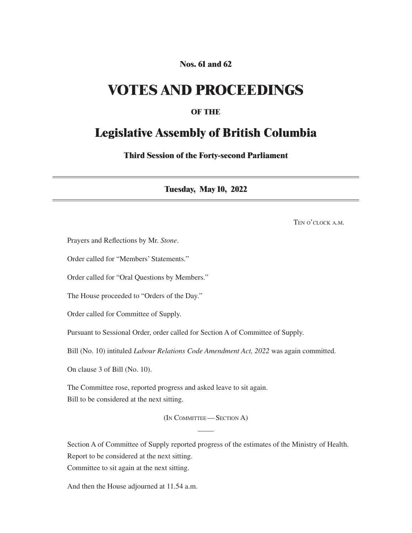## **Nos. 61 and 62**

## **VOTES AND PROCEEDINGS**

### **OF THE**

## **Legislative Assembly of British Columbia**

**Third Session of the Forty-second Parliament**

**Tuesday, May 10, 2022**

Ten o'clock a.m.

Prayers and Reflections by Mr. *Stone*.

Order called for "Members' Statements."

Order called for "Oral Questions by Members."

The House proceeded to "Orders of the Day."

Order called for Committee of Supply.

Pursuant to Sessional Order, order called for Section A of Committee of Supply.

Bill (No. 10) intituled *Labour Relations Code Amendment Act, 2022* was again committed.

On clause 3 of Bill (No. 10).

The Committee rose, reported progress and asked leave to sit again. Bill to be considered at the next sitting.

(In Committee—Section A)

Section A of Committee of Supply reported progress of the estimates of the Ministry of Health. Report to be considered at the next sitting.

Committee to sit again at the next sitting.

And then the House adjourned at 11.54 a.m.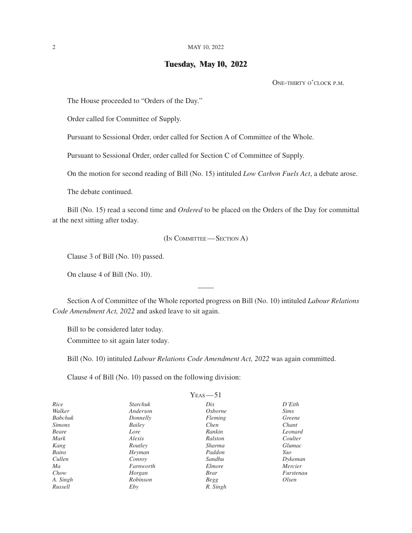#### **Tuesday, May 10, 2022**

One-thirty o'clock p.m.

The House proceeded to "Orders of the Day."

Order called for Committee of Supply.

Pursuant to Sessional Order, order called for Section A of Committee of the Whole.

Pursuant to Sessional Order, order called for Section C of Committee of Supply.

On the motion for second reading of Bill (No. 15) intituled *Low Carbon Fuels Act*, a debate arose.

The debate continued.

Bill (No. 15) read a second time and *Ordered* to be placed on the Orders of the Day for committal at the next sitting after today.

(In Committee—Section A)

Clause 3 of Bill (No. 10) passed.

On clause 4 of Bill (No. 10).

Section A of Committee of the Whole reported progress on Bill (No. 10) intituled *Labour Relations Code Amendment Act, 2022* and asked leave to sit again.

Bill to be considered later today.

Committee to sit again later today.

Bill (No. 10) intituled *Labour Relations Code Amendment Act, 2022* was again committed.

Clause 4 of Bill (No. 10) passed on the following division:

|                |           | $Y_{EAS}$ -51   |             |
|----------------|-----------|-----------------|-------------|
| Rice           | Starchuk  | $_{\text{Dix}}$ | D'Eith      |
| Walker         | Anderson  | <i>Osborne</i>  | <i>Sims</i> |
| <b>Babchuk</b> | Donnelly  | Fleming         | Greene      |
| <i>Simons</i>  | Bailey    | Chen            | Chant       |
| Beare          | Lore      | Rankin          | Leonard     |
| Mark           | Alexis    | Ralston         | Coulter     |
| Kang           | Routley   | Sharma          | Glumac      |
| Bains          | Heyman    | Paddon          | Yao         |
| Cullen         | Conroy    | Sandhu          | Dykeman     |
| Ma             | Farnworth | Elmore          | Mercier     |
| Chow           | Horgan    | <i>Brar</i>     | Furstenau   |
| A. Singh       | Robinson  | Begg            | Olsen       |
| Russell        | Eby       | R. Singh        |             |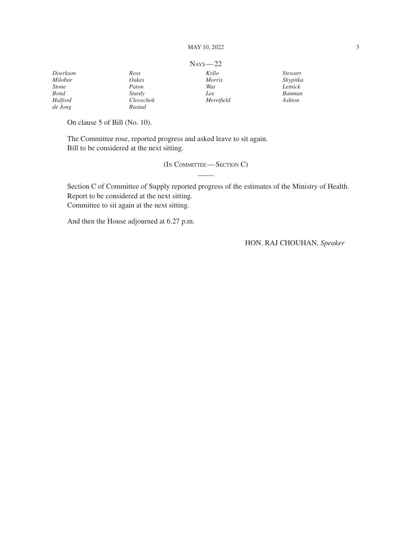|              |           | $N_{AYS}$ - 22 |          |
|--------------|-----------|----------------|----------|
| Doerkson     | Ross      | Kyllo          | Stewart  |
| Milobar      | Oakes     | <i>Morris</i>  | Shypitka |
| <b>Stone</b> | Paton     | Wat            | Letnick  |
| <b>Bond</b>  | Sturdy    | Lee            | Banman   |
| Halford      | Clovechok | Merrifield     | Ashton   |
| de Jong      | Rustad    |                |          |

On clause 5 of Bill (No. 10).

The Committee rose, reported progress and asked leave to sit again. Bill to be considered at the next sitting.

(In Committee—Section C)

Section C of Committee of Supply reported progress of the estimates of the Ministry of Health. Report to be considered at the next sitting. Committee to sit again at the next sitting.

And then the House adjourned at 6.27 p.m.

HON. RAJ CHOUHAN, *Speaker*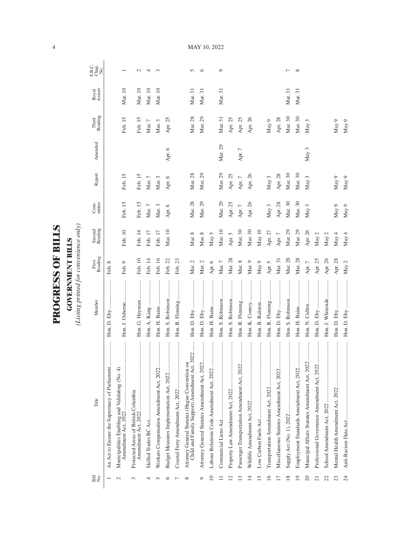| Ę<br>F<br>$\sum_{i=1}^{n}$<br>C<br>C<br>C | Ě<br>≂<br>Ę           |
|-------------------------------------------|-----------------------|
| Ę                                         | Ē                     |
| ⊑                                         | $\tilde{\phantom{0}}$ |

**GOVERNMENT BILLS**<br>(Listing printed for convenience only) *(Listing printed for convenience only)*

|                          |                                                                                                 |                                  |                  |                   | $Com-$   |          |         |                  |                 |                        |
|--------------------------|-------------------------------------------------------------------------------------------------|----------------------------------|------------------|-------------------|----------|----------|---------|------------------|-----------------|------------------------|
| Bill<br>N⊙.              | Title                                                                                           | Member                           | First<br>Reading | Second<br>Reading | mittee   | Report   | Amended | Third<br>Reading | Royal<br>Assent | S.B.C.<br>Chap.<br>No. |
|                          | An Act to Ensure the Supremacy of Parliament                                                    |                                  | Feb. 8           |                   |          |          |         |                  |                 |                        |
|                          | Municipalities Enabling and Validating (No. 4)<br>Amendment Act, 2022                           | Hon. J. Osborne                  | Feb. 9           | Feb. 10           | Feb. 15  | Feb. 15  |         | Feb. 15          | Mar. 10         |                        |
| 3                        | Protected Areas of British Columbia                                                             | Hon. G. Heyman                   | Feb. 10          | Feb. 14           | Feb. 15  | Feb. 15  |         | Feb. 15          | Mar. 10         | $\mathcal{L}$          |
|                          |                                                                                                 |                                  | Feb. 14          | Feb. 17           | Mar. 7   | Mar. $7$ |         | Mar. 7           | Mar. 10         | 4                      |
|                          | Workers Compensation Amendment Act, 2022                                                        |                                  | Feb. 16          | Feb. 17           | Mar. 3   | Mar. 3   |         | Mar. 3           | Mar. 10         | $\infty$               |
|                          | Budget Measures Implementation Act, 2022                                                        | Hon. S. Robinson                 | Feb. 22          | Mar. 10           | Apr. 6   | Apr. 6   | Apr. 6  | Apr. 25          |                 |                        |
|                          |                                                                                                 | Hon. R. Fleming                  | Feb. 23          |                   |          |          |         |                  |                 |                        |
| $\infty$                 | Child and Family Support) Amendment Act, 2022<br>Attorney General Statutes (Hague Convention on |                                  | Mar. $2$         | Mar. $8$          | Mar. 28  | Mar. 28  |         | Mar. 28          | Mar. 31         | $\sqrt{2}$             |
| σ                        | <br>Attorney General Statutes Amendment Act, 2022.                                              |                                  | Mar. 2           | Mar. 8            | Mar. 29  | Mar. 29  |         | Mar. 29          | Mar. 31         | ৩                      |
| $\supseteq$              | <br>Labour Relations Code Amendment Act, 2022                                                   |                                  | Apr. 6           | May 5             |          |          |         |                  |                 |                        |
|                          |                                                                                                 | Hon. S. Robinson                 | Mar. $7$         | Mar. 10           | Mar. 29  | Mar. 29  | Mar. 29 | Mar. 31          | Mar. 31         | Q                      |
| $\overline{\mathcal{C}}$ |                                                                                                 | Hon. S. Robinson                 | Mar. 28          | Apr. 5            | Apr. 25  | Apr. 25  |         | Apr. 25          |                 |                        |
| ൗ                        | Passenger Transportation Amendment Act, 2022                                                    | Hon. R. Fleming                  | Mar. $8$         | Mar. 30           | Apr. $7$ | Apr. $7$ | Apr. 7  | Apr. 25          |                 |                        |
| 4                        |                                                                                                 |                                  | Mar. 9           | Mar. 30           | Apr. 26  | Apr. 26  |         | Apr. 26          |                 |                        |
| 15                       |                                                                                                 | Hon. B. Ralston                  | May $9$          | May 10            |          |          |         |                  |                 |                        |
| 16                       |                                                                                                 | Hon. R. Fleming                  | Apr. 5           | Apr. 27           | May 3    | May 3    |         | May 9            |                 |                        |
| $\overline{1}$           | Miscellaneous Statutes Amendment Act, 2022                                                      | :<br>:<br>:<br>:<br>Hon. D. Eby  | Mar. 31          | Apr. $7\,$        | Apr. 28  | Apr. 28  |         | Apr. 28          |                 |                        |
| $\overline{18}$          |                                                                                                 | Hon. S. Robinson                 | Mar. 28          | Mar. 29           | Mar. 30  | Mar. 30  |         | Mar. 30          | Mar. 31         | ٣                      |
| $\overline{19}$          | Employment Standards Amendment Act, 2022                                                        | <br> <br> <br> <br>Hon. H. Bains | Mar. 28          | Mar. 29           | Mar. 30  | Mar. 30  |         | Mar. 30          | Mar. 31         | $\infty$               |
| 20                       | Municipal Affairs Statutes Amendment Act, 2022                                                  |                                  | Apr. $7\,$       | Apr. 26           | May 3    | May 3    | May 3   | May 3            |                 |                        |
| ಸ                        | Professional Governance Amendment Act, 2022                                                     |                                  | Apr. 25          | May $2$           |          |          |         |                  |                 |                        |
| 22                       |                                                                                                 | Hon. J. Whiteside                | Apr. 26 $\,$     | May 2             |          |          |         |                  |                 |                        |
| 23                       |                                                                                                 |                                  | Apr. 28          | May 4             | May 9    | May 9    |         | May 9            |                 |                        |
| 24                       |                                                                                                 |                                  | May 2            | May 4             | May 9    | May $9$  |         | May $9$          |                 |                        |

MAY 10, 2022

4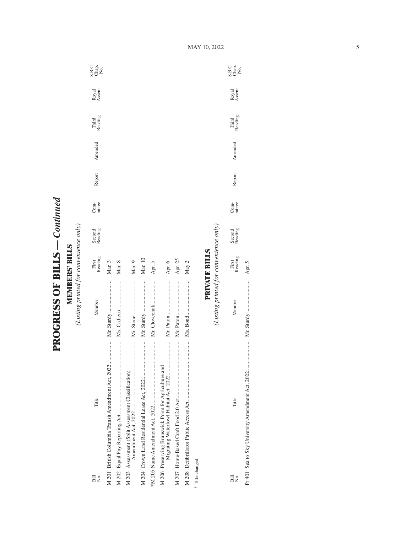**PROGRESS OF BILLS - Continued PROGRESS OF BILLS** *— Continued*

**MEMBERS' BILLS**<br>(Listing printed for convenience only) *(Listing printed for convenience only)* **MEMBERS' BILLS**

| Bill<br>Σó,      | Title                                                                                             | Member                                 | Reading<br>First     | Second<br>Reading | mittee<br>Com- | Report | Amended | Reading<br>Third | Royal<br>Assent | C<br>Sag<br>Sag                  |
|------------------|---------------------------------------------------------------------------------------------------|----------------------------------------|----------------------|-------------------|----------------|--------|---------|------------------|-----------------|----------------------------------|
|                  | M 201 British Columbia Transit Amendment Act, 2022                                                | Mr. Sturdy                             | Mar. 3               |                   |                |        |         |                  |                 |                                  |
|                  |                                                                                                   |                                        | Mar. 8               |                   |                |        |         |                  |                 |                                  |
|                  | M 203 Assessment (Split Assessment Classification)                                                |                                        | Mar. 9               |                   |                |        |         |                  |                 |                                  |
|                  |                                                                                                   |                                        | Mar. 10              |                   |                |        |         |                  |                 |                                  |
|                  |                                                                                                   | Mr. Clovechok                          | Apr. 5               |                   |                |        |         |                  |                 |                                  |
|                  | <br>M 206 Preserving Brunswick Point for Agriculture and<br>Migrating Waterfowl Habitat Act, 2022 |                                        | Apr. 6               |                   |                |        |         |                  |                 |                                  |
|                  |                                                                                                   |                                        | Apr. 25              |                   |                |        |         |                  |                 |                                  |
|                  |                                                                                                   |                                        | May 2                |                   |                |        |         |                  |                 |                                  |
| * Title changed. |                                                                                                   |                                        |                      |                   |                |        |         |                  |                 |                                  |
|                  |                                                                                                   | (Listing printed for convenience only) | <b>PRIVATE BILLS</b> |                   |                |        |         |                  |                 |                                  |
| Bill<br>Σó       | Title                                                                                             | Member                                 | Reading<br>First     | Second<br>Reading | Com-<br>mittee | Report | Amended | Third<br>Reading | Royal<br>Assent | C<br>SB <sub>Q</sub><br>SBQ<br>Z |

Pr 401 Sea to Sky University Amendment Act, 2022 ..................... Mr. Sturdy ........................ Apr. 5

Apr. 5

MAY 10, 2022